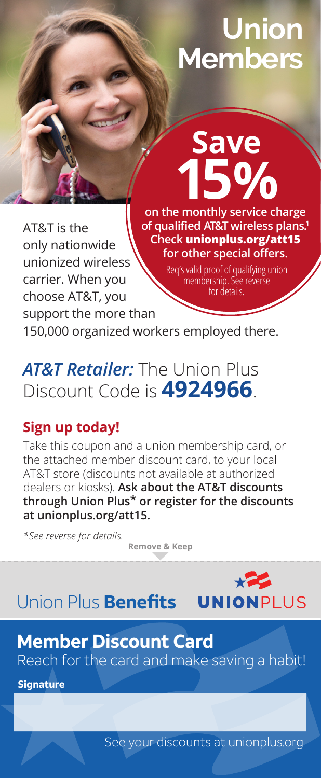# **Union Members**

AT&T is the only nationwide unionized wireless carrier. When you choose AT&T, you support the more than

on the monthly service charge **of qualified AT&T wireless plans. 1 Check unionplus.org/att15 for other special offers.** 

**Save**

Req's valid proof of qualifying union membership. See reverse for details.

150,000 organized workers employed there.

*AT&T Retailer:* The Union Plus Discount Code is **4924966**.

#### **Sign up today!**

Take this coupon and a union membership card, or the attached member discount card, to your local AT&T store (discounts not available at authorized dealers or kiosks). **Ask about the AT&T discounts through Union Plus\* or register for the discounts at unionplus.org/att15.**

*\*See reverse for details.*

**Remove & Keep**

Union Plus **Benefits UNIONPLUS** 

### **Member Discount Card** Reach for the card and make saving a habit!

**Signature**

See your discounts at unionplus.org